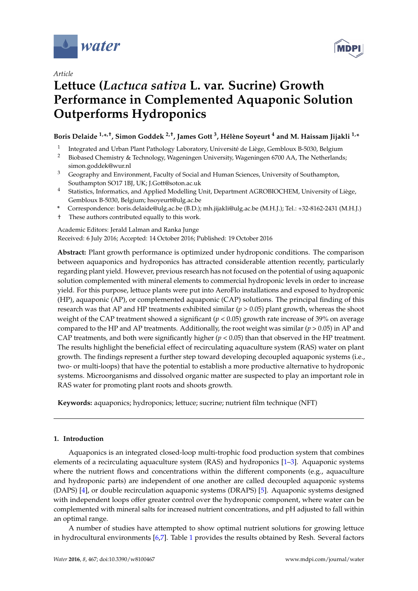

*Article*



# **Lettuce (***Lactuca sativa* **L. var. Sucrine) Growth Performance in Complemented Aquaponic Solution Outperforms Hydroponics**

# **Boris Delaide 1,\* ,†, Simon Goddek 2,†, James Gott <sup>3</sup> , Hélène Soyeurt <sup>4</sup> and M. Haissam Jijakli 1,\***

- 1 Integrated and Urban Plant Pathology Laboratory, Université de Liège, Gembloux B-5030, Belgium
- <sup>2</sup> Biobased Chemistry & Technology, Wageningen University, Wageningen 6700 AA, The Netherlands; simon.goddek@wur.nl
- <sup>3</sup> Geography and Environment, Faculty of Social and Human Sciences, University of Southampton, Southampton SO17 1BJ, UK; J.Gott@soton.ac.uk
- <sup>4</sup> Statistics, Informatics, and Applied Modelling Unit, Department AGROBIOCHEM, University of Liège, Gembloux B-5030, Belgium; hsoyeurt@ulg.ac.be
- **\*** Correspondence: boris.delaide@ulg.ac.be (B.D.); mh.jijakli@ulg.ac.be (M.H.J.); Tel.: +32-8162-2431 (M.H.J.)
- † These authors contributed equally to this work.

Academic Editors: Jerald Lalman and Ranka Junge Received: 6 July 2016; Accepted: 14 October 2016; Published: 19 October 2016

**Abstract:** Plant growth performance is optimized under hydroponic conditions. The comparison between aquaponics and hydroponics has attracted considerable attention recently, particularly regarding plant yield. However, previous research has not focused on the potential of using aquaponic solution complemented with mineral elements to commercial hydroponic levels in order to increase yield. For this purpose, lettuce plants were put into AeroFlo installations and exposed to hydroponic (HP), aquaponic (AP), or complemented aquaponic (CAP) solutions. The principal finding of this research was that AP and HP treatments exhibited similar (*p* > 0.05) plant growth, whereas the shoot weight of the CAP treatment showed a significant  $(p < 0.05)$  growth rate increase of 39% on average compared to the HP and AP treatments. Additionally, the root weight was similar ( $p > 0.05$ ) in AP and CAP treatments, and both were significantly higher (*p* < 0.05) than that observed in the HP treatment. The results highlight the beneficial effect of recirculating aquaculture system (RAS) water on plant growth. The findings represent a further step toward developing decoupled aquaponic systems (i.e., two- or multi-loops) that have the potential to establish a more productive alternative to hydroponic systems. Microorganisms and dissolved organic matter are suspected to play an important role in RAS water for promoting plant roots and shoots growth.

**Keywords:** aquaponics; hydroponics; lettuce; sucrine; nutrient film technique (NFT)

# **1. Introduction**

Aquaponics is an integrated closed-loop multi-trophic food production system that combines elements of a recirculating aquaculture system (RAS) and hydroponics [\[1](#page-9-0)[–3\]](#page-9-1). Aquaponic systems where the nutrient flows and concentrations within the different components (e.g., aquaculture and hydroponic parts) are independent of one another are called decoupled aquaponic systems (DAPS) [\[4\]](#page-9-2), or double recirculation aquaponic systems (DRAPS) [\[5\]](#page-9-3). Aquaponic systems designed with independent loops offer greater control over the hydroponic component, where water can be complemented with mineral salts for increased nutrient concentrations, and pH adjusted to fall within an optimal range.

A number of studies have attempted to show optimal nutrient solutions for growing lettuce in hydrocultural environments [\[6,](#page-9-4)[7\]](#page-9-5). Table [1](#page-1-0) provides the results obtained by Resh. Several factors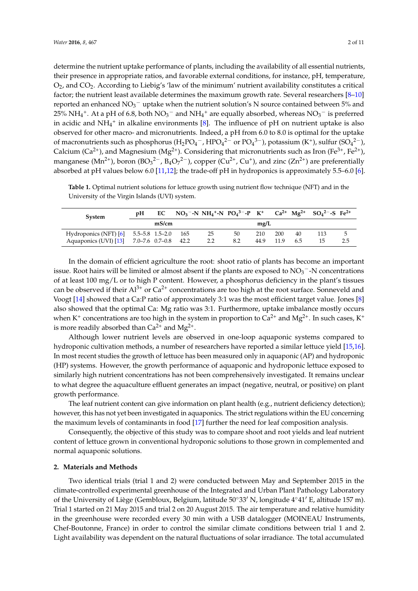determine the nutrient uptake performance of plants, including the availability of all essential nutrients, their presence in appropriate ratios, and favorable external conditions, for instance, pH, temperature,  $O_2$ , and  $CO_2$ . According to Liebig's 'law of the minimum' nutrient availability constitutes a critical factor; the nutrient least available determines the maximum growth rate. Several researchers [\[8](#page-9-6)[–10\]](#page-9-7) reported an enhanced  $NO_3^-$  uptake when the nutrient solution's N source contained between 5% and 25% NH<sub>4</sub><sup>+</sup>. At a pH of 6.8, both NO<sub>3</sub><sup>-</sup> and NH<sub>4</sub><sup>+</sup> are equally absorbed, whereas NO<sub>3</sub><sup>-</sup> is preferred in acidic and  $NH_4^+$  in alkaline environments [\[8\]](#page-9-6). The influence of pH on nutrient uptake is also observed for other macro- and micronutrients. Indeed, a pH from 6.0 to 8.0 is optimal for the uptake of macronutrients such as phosphorus (H<sub>2</sub>PO<sub>4</sub><sup>-</sup>, HPO<sub>4</sub><sup>2-</sup> or PO<sub>4</sub><sup>3-</sup>), potassium (K<sup>+</sup>), sulfur (SO<sub>4</sub><sup>2-</sup>), Calcium (Ca<sup>2+</sup>), and Magnesium (Mg<sup>2+</sup>). Considering that micronutrients such as Iron (Fe<sup>3+</sup>, Fe<sup>2+</sup>), manganese (Mn<sup>2+</sup>), boron (BO<sub>3</sub><sup>2-</sup>, B<sub>4</sub>O<sub>7</sub><sup>2-</sup>), copper (Cu<sup>2+</sup>, Cu<sup>+</sup>), and zinc (Zn<sup>2+</sup>) are preferentially absorbed at pH values below 6.0 [\[11](#page-9-8)[,12\]](#page-9-9); the trade-off pH in hydroponics is approximately 5.5–6.0 [\[6\]](#page-9-4).

<span id="page-1-0"></span>**Table 1.** Optimal nutrient solutions for lettuce growth using nutrient flow technique (NFT) and in the University of the Virgin Islands (UVI) system.

| System                                     | pH | EC    | $NO_3$ <sup>-</sup> -N NH <sub>4</sub> <sup>+</sup> -N PO <sub>4</sub> <sup>3-</sup> -P K <sup>+</sup> Ca <sup>2+</sup> Mg <sup>2+</sup> SO <sub>4</sub> <sup>2-</sup> -S Fe <sup>2+</sup> |     |      |      |     |    |     |
|--------------------------------------------|----|-------|--------------------------------------------------------------------------------------------------------------------------------------------------------------------------------------------|-----|------|------|-----|----|-----|
|                                            |    | mS/cm |                                                                                                                                                                                            |     | mg/L |      |     |    |     |
| Hydroponics (NFT) [6] 5.5–5.8 1.5–2.0 165  |    |       | 25                                                                                                                                                                                         | 50  | 210  | 200  | 40  |    |     |
| Aquaponics (UVI) [13] 7.0–7.6 0.7–0.8 42.2 |    |       | 2.2                                                                                                                                                                                        | 8.2 | 44.9 | 11.9 | 6.5 | 15 | 2.5 |

In the domain of efficient agriculture the root: shoot ratio of plants has become an important issue. Root hairs will be limited or almost absent if the plants are exposed to  $NO<sub>3</sub><sup>-</sup>-N$  concentrations of at least 100 mg/L or to high P content. However, a phosphorus deficiency in the plant's tissues can be observed if their  $Al^{3+}$  or  $Ca^{2+}$  concentrations are too high at the root surface. Sonneveld and Voogt [\[14\]](#page-9-11) showed that a Ca:P ratio of approximately 3:1 was the most efficient target value. Jones [\[8\]](#page-9-6) also showed that the optimal Ca: Mg ratio was 3:1. Furthermore, uptake imbalance mostly occurs when K<sup>+</sup> concentrations are too high in the system in proportion to Ca<sup>2+</sup> and Mg<sup>2+</sup>. In such cases, K<sup>+</sup> is more readily absorbed than  $Ca^{2+}$  and  $Mg^{2+}$ .

Although lower nutrient levels are observed in one-loop aquaponic systems compared to hydroponic cultivation methods, a number of researchers have reported a similar lettuce yield [\[15](#page-9-12)[,16\]](#page-9-13). In most recent studies the growth of lettuce has been measured only in aquaponic (AP) and hydroponic (HP) systems. However, the growth performance of aquaponic and hydroponic lettuce exposed to similarly high nutrient concentrations has not been comprehensively investigated. It remains unclear to what degree the aquaculture effluent generates an impact (negative, neutral, or positive) on plant growth performance.

The leaf nutrient content can give information on plant health (e.g., nutrient deficiency detection); however, this has not yet been investigated in aquaponics. The strict regulations within the EU concerning the maximum levels of contaminants in food [\[17\]](#page-9-14) further the need for leaf composition analysis.

Consequently, the objective of this study was to compare shoot and root yields and leaf nutrient content of lettuce grown in conventional hydroponic solutions to those grown in complemented and normal aquaponic solutions.

## **2. Materials and Methods**

Two identical trials (trial 1 and 2) were conducted between May and September 2015 in the climate-controlled experimental greenhouse of the Integrated and Urban Plant Pathology Laboratory of the University of Liège (Gembloux, Belgium, latitude 50°33′ N, longitude 4°41′ E, altitude 157 m). Trial 1 started on 21 May 2015 and trial 2 on 20 August 2015. The air temperature and relative humidity in the greenhouse were recorded every 30 min with a USB datalogger (MOINEAU Instruments, Chef-Boutonne, France) in order to control the similar climate conditions between trial 1 and 2. Light availability was dependent on the natural fluctuations of solar irradiance. The total accumulated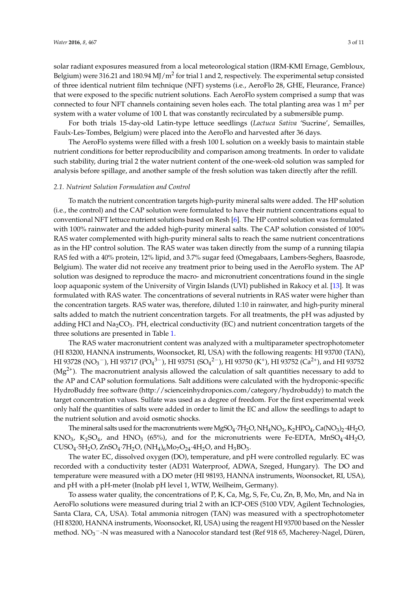solar radiant exposures measured from a local meteorological station (IRM-KMI Ernage, Gembloux, Belgium) were 316.21 and 180.94 MJ/m<sup>2</sup> for trial 1 and 2, respectively. The experimental setup consisted of three identical nutrient film technique (NFT) systems (i.e., AeroFlo 28, GHE, Fleurance, France) that were exposed to the specific nutrient solutions. Each AeroFlo system comprised a sump that was connected to four NFT channels containing seven holes each. The total planting area was  $1 \text{ m}^2$  per system with a water volume of 100 L that was constantly recirculated by a submersible pump.

For both trials 15-day-old Latin-type lettuce seedlings (*Lactuca Sativa* 'Sucrine', Semailles, Faulx-Les-Tombes, Belgium) were placed into the AeroFlo and harvested after 36 days.

The AeroFlo systems were filled with a fresh 100 L solution on a weekly basis to maintain stable nutrient conditions for better reproducibility and comparison among treatments. In order to validate such stability, during trial 2 the water nutrient content of the one-week-old solution was sampled for analysis before spillage, and another sample of the fresh solution was taken directly after the refill.

### *2.1. Nutrient Solution Formulation and Control*

To match the nutrient concentration targets high-purity mineral salts were added. The HP solution (i.e., the control) and the CAP solution were formulated to have their nutrient concentrations equal to conventional NFT lettuce nutrient solutions based on Resh [\[6\]](#page-9-4). The HP control solution was formulated with 100% rainwater and the added high-purity mineral salts. The CAP solution consisted of 100% RAS water complemented with high-purity mineral salts to reach the same nutrient concentrations as in the HP control solution. The RAS water was taken directly from the sump of a running tilapia RAS fed with a 40% protein, 12% lipid, and 3.7% sugar feed (Omegabaars, Lambers-Seghers, Baasrode, Belgium). The water did not receive any treatment prior to being used in the AeroFlo system. The AP solution was designed to reproduce the macro- and micronutrient concentrations found in the single loop aquaponic system of the University of Virgin Islands (UVI) published in Rakocy et al. [\[13\]](#page-9-10). It was formulated with RAS water. The concentrations of several nutrients in RAS water were higher than the concentration targets. RAS water was, therefore, diluted 1:10 in rainwater, and high-purity mineral salts added to match the nutrient concentration targets. For all treatments, the pH was adjusted by adding HCl and  $Na<sub>2</sub>CO<sub>3</sub>$ . PH, electrical conductivity (EC) and nutrient concentration targets of the three solutions are presented in Table [1.](#page-1-0)

The RAS water macronutrient content was analyzed with a multiparameter spectrophotometer (HI 83200, HANNA instruments, Woonsocket, RI, USA) with the following reagents: HI 93700 (TAN), HI 93728 (NO3 $^{-}$ ), HI 93717 (PO $_4^{3-}$ ), HI 93751 (SO $_4^{2-}$ ), HI 93750 (K<sup>+</sup>), HI 93752 (Ca $^{2+}$ ), and HI 93752  $(Mg<sup>2+</sup>)$ . The macronutrient analysis allowed the calculation of salt quantities necessary to add to the AP and CAP solution formulations. Salt additions were calculated with the hydroponic-specific HydroBuddy free software [\(http://scienceinhydroponics.com/category/hydrobuddy\)](http://scienceinhydroponics.com/category/hydrobuddy) to match the target concentration values. Sulfate was used as a degree of freedom. For the first experimental week only half the quantities of salts were added in order to limit the EC and allow the seedlings to adapt to the nutrient solution and avoid osmotic shocks.

The mineral salts used for the macronutrients were  $MgSO_4 \cdot 7H_2O$ ,  $NH_4NO_3$ ,  $K_2HPO_4$ ,  $Ca(NO_3)_2 \cdot 4H_2O$ , KNO<sub>3</sub>, K<sub>2</sub>SO<sub>4</sub>, and HNO<sub>3</sub> (65%), and for the micronutrients were Fe-EDTA, MnSO<sub>4</sub>·4H<sub>2</sub>O, CUSO<sub>4</sub>·5H<sub>2</sub>O, ZnSO<sub>4</sub>·7H<sub>2</sub>O, (NH<sub>4</sub>)<sub>6</sub>Mo<sub>7</sub>O<sub>24</sub>·4H<sub>2</sub>O, and H<sub>3</sub>BO<sub>3</sub>.

The water EC, dissolved oxygen (DO), temperature, and pH were controlled regularly. EC was recorded with a conductivity tester (AD31 Waterproof, ADWA, Szeged, Hungary). The DO and temperature were measured with a DO meter (HI 98193, HANNA instruments, Woonsocket, RI, USA), and pH with a pH-meter (Inolab pH level 1, WTW, Weilheim, Germany).

To assess water quality, the concentrations of P, K, Ca, Mg, S, Fe, Cu, Zn, B, Mo, Mn, and Na in AeroFlo solutions were measured during trial 2 with an ICP-OES (5100 VDV, Agilent Technologies, Santa Clara, CA, USA). Total ammonia nitrogen (TAN) was measured with a spectrophotometer (HI 83200, HANNA instruments, Woonsocket, RI, USA) using the reagent HI 93700 based on the Nessler method.  $NO_3$ <sup>-</sup>-N was measured with a Nanocolor standard test (Ref 918 65, Macherey-Nagel, Düren,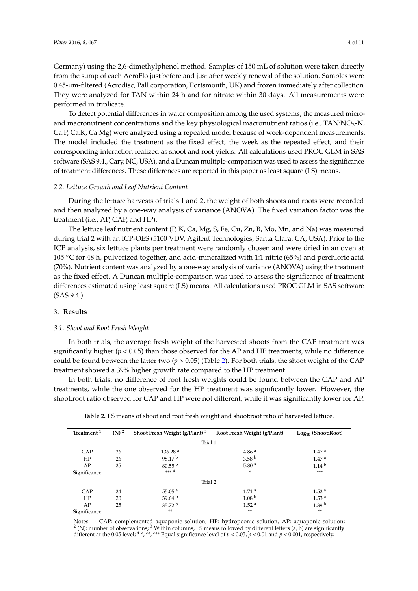Germany) using the 2,6-dimethylphenol method. Samples of 150 mL of solution were taken directly from the sump of each AeroFlo just before and just after weekly renewal of the solution. Samples were 0.45-µm-filtered (Acrodisc, Pall corporation, Portsmouth, UK) and frozen immediately after collection. They were analyzed for TAN within 24 h and for nitrate within 30 days. All measurements were performed in triplicate.

To detect potential differences in water composition among the used systems, the measured microand macronutrient concentrations and the key physiological macronutrient ratios (i.e., TAN:NO<sub>3</sub>-N, Ca:P, Ca:K, Ca:Mg) were analyzed using a repeated model because of week-dependent measurements. The model included the treatment as the fixed effect, the week as the repeated effect, and their corresponding interaction realized as shoot and root yields. All calculations used PROC GLM in SAS software (SAS 9.4., Cary, NC, USA), and a Duncan multiple-comparison was used to assess the significance of treatment differences. These differences are reported in this paper as least square (LS) means.

#### *2.2. Lettuce Growth and Leaf Nutrient Content*

During the lettuce harvests of trials 1 and 2, the weight of both shoots and roots were recorded and then analyzed by a one-way analysis of variance (ANOVA). The fixed variation factor was the treatment (i.e., AP, CAP, and HP).

The lettuce leaf nutrient content (P, K, Ca, Mg, S, Fe, Cu, Zn, B, Mo, Mn, and Na) was measured during trial 2 with an ICP-OES (5100 VDV, Agilent Technologies, Santa Clara, CA, USA). Prior to the ICP analysis, six lettuce plants per treatment were randomly chosen and were dried in an oven at 105 ◦C for 48 h, pulverized together, and acid-mineralized with 1:1 nitric (65%) and perchloric acid (70%). Nutrient content was analyzed by a one-way analysis of variance (ANOVA) using the treatment as the fixed effect. A Duncan multiple-comparison was used to assess the significance of treatment differences estimated using least square (LS) means. All calculations used PROC GLM in SAS software (SAS 9.4.).

# **3. Results**

#### *3.1. Shoot and Root Fresh Weight*

In both trials, the average fresh weight of the harvested shoots from the CAP treatment was significantly higher ( $p < 0.05$ ) than those observed for the AP and HP treatments, while no difference could be found between the latter two (*p* > 0.05) (Table [2\)](#page-3-0). For both trials, the shoot weight of the CAP treatment showed a 39% higher growth rate compared to the HP treatment.

In both trials, no difference of root fresh weights could be found between the CAP and AP treatments, while the one observed for the HP treatment was significantly lower. However, the shoot:root ratio observed for CAP and HP were not different, while it was significantly lower for AP.

<span id="page-3-0"></span>

| Treatment <sup>1</sup> | $(N)^2$ | Shoot Fresh Weight (g/Plant) <sup>3</sup> | Root Fresh Weight (g/Plant) | $Log10$ (Shoot:Root) |  |  |  |  |  |  |  |
|------------------------|---------|-------------------------------------------|-----------------------------|----------------------|--|--|--|--|--|--|--|
| Trial 1                |         |                                           |                             |                      |  |  |  |  |  |  |  |
| CAP                    | 26      | 136.28 <sup>a</sup>                       | 4.86 <sup>a</sup>           | 1.47 <sup>a</sup>    |  |  |  |  |  |  |  |
| HP                     | 26      | 98.17 <sup>b</sup>                        | 3.58 <sup>b</sup>           | 1.47 <sup>a</sup>    |  |  |  |  |  |  |  |
| AP                     | 25      | $80.55^{b}$                               | 5.80 $a$                    | 1.14 <sup>b</sup>    |  |  |  |  |  |  |  |
| Significance           |         | $***4$                                    | ÷                           | $***$                |  |  |  |  |  |  |  |
|                        |         | Trial 2                                   |                             |                      |  |  |  |  |  |  |  |
| CAP                    | 24      | 55.05 $^{a}$                              | 1.71 <sup>a</sup>           | 1.52 <sup>a</sup>    |  |  |  |  |  |  |  |
| HP                     | 20      | 39.64 <sup>b</sup>                        | 1.08 <sup>b</sup>           | 1.53 <sup>a</sup>    |  |  |  |  |  |  |  |
| AP                     | 25      | 35.72 <sup>b</sup>                        | 1.52 <sup>a</sup>           | 1.39 <sup>b</sup>    |  |  |  |  |  |  |  |
| Significance           |         | **                                        | **                          | $**$                 |  |  |  |  |  |  |  |

**Table 2.** LS means of shoot and root fresh weight and shoot:root ratio of harvested lettuce.

Notes: <sup>1</sup> CAP: complemented aquaponic solution, HP: hydropoonic solution, AP: aquaponic solution; <sup>2</sup> (N): number of observations; <sup>3</sup> Within columns, LS means followed by different letters (a, b) are significantly different at the 0.05 level; <sup>4</sup> \*, \*\*, \*\*\* Equal significance level of  $p < 0.05$ ,  $p < 0.01$  and  $p < 0.001$ , respectively.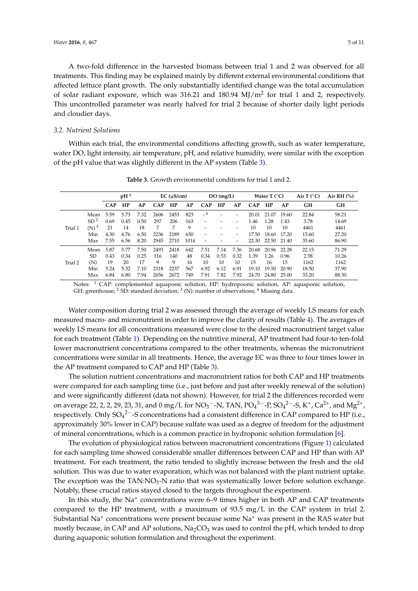A two-fold difference in the harvested biomass between trial 1 and 2 was observed for all treatments. This finding may be explained mainly by different external environmental conditions that affected lettuce plant growth. The only substantially identified change was the total accumulation of solar radiant exposure, which was 316.21 and 180.94 MJ/m<sup>2</sup> for trial 1 and 2, respectively. This uncontrolled parameter was nearly halved for trial 2 because of shorter daily light periods and cloudier days.

#### *3.2. Nutrient Solutions*

Within each trial, the environmental conditions affecting growth, such as water temperature, water DO, light intensity, air temperature, pH, and relative humidity, were similar with the exception of the pH value that was slightly different in the AP system (Table [3\)](#page-4-0).

<span id="page-4-0"></span>

|         |                  | pH <sup>1</sup> |      | $EC$ ( $\mu$ S/cm) |            | $DO$ (mg/L) |      |                          | Water $T$ ( $\rm ^{\circ}C$ ) |      |            | Air T $(^{\circ}C)$ | Air RH $(%)$ |       |       |
|---------|------------------|-----------------|------|--------------------|------------|-------------|------|--------------------------|-------------------------------|------|------------|---------------------|--------------|-------|-------|
|         |                  | <b>CAP</b>      | HP   | AP                 | <b>CAP</b> | HP          | AP   | <b>CAP</b>               | HP                            | AP   | <b>CAP</b> | HP                  | AP           | GН    | GH    |
|         | Mean             | 5.59            | 5.73 | 7.32               | 2606       | 2453        | 823  | $-4$                     | ۰                             | ۰    | 20.01      | 21.07               | 19.60        | 22.84 | 58.21 |
|         | SD <sup>2</sup>  | 0.69            | 0.45 | 0.50               | 297        | 206         | 163  | $\overline{\phantom{a}}$ | ۰                             | ٠    | 1.46       | 1.28                | 1.43         | 3.78  | 14.69 |
| Trial 1 | (N) <sup>3</sup> | 21              | 14   | 18                 | 7          | 7           | 9    | $\overline{\phantom{a}}$ | ۰                             | ٠    | 10         | 10                  | 10           | 4461  | 4461  |
|         | Min              | 4.30            | 4.76 | 6.50               | 2236       | 2189        | 630  | $\overline{\phantom{a}}$ | ٠                             | ۰    | 17.50      | 18.60               | 17.20        | 15.60 | 27.20 |
|         | Max              | 7.55            | 6.56 | 8.20               | 2945       | 2710        | 1014 | $\overline{\phantom{a}}$ | ٠                             | ٠    | 22.30      | 22.50               | 21.40        | 35.60 | 86.90 |
|         | Mean             | 5.87            | 5.77 | 7.50               | 2493       | 2418        | 642  | 7.51                     | 7.14                          | 7.36 | 20.68      | 20.96               | 22.28        | 22.15 | 71.29 |
|         | SD.              | 0.43            | 0.34 | 0.25               | 116        | 140         | 48   | 0.34                     | 0.53                          | 0.32 | 1.39       | 1.26                | 0.96         | 2.58  | 10.26 |
| Trial 2 | (N)              | 19              | 20   | 17                 | 9          | 9           | 16   | 10                       | 10                            | 10   | 15         | 16                  | 15           | 1162  | 1162  |
|         | Min              | 5.24            | 5.32 | 7.10               | 2318       | 2237        | 567  | 6.92                     | 6.12                          | 6.91 | 19.10      | 19.50               | 20.90        | 18.50 | 37.90 |
|         | Max              | 6.84            | 6.80 | 7.94               | 2656       | 2672        | 749  | 7.91                     | 7.82                          | 7.92 | 24.70      | 24.80               | 25.00        | 33.20 | 88.30 |

**Table 3.** Growth environmental conditions for trial 1 and 2.

Notes: <sup>1</sup> CAP: complemented aquaponic solution, HP: hydropoonic solution, AP: aquaponic solution, GH: greenhouse; <sup>2</sup> SD: standard deviation; <sup>3</sup> (N): number of observations; <sup>4</sup> Missing data.

Water composition during trial 2 was assessed through the average of weekly LS means for each measured macro- and micronutrient in order to improve the clarity of results (Table [4\)](#page-5-0). The averages of weekly LS means for all concentrations measured were close to the desired macronutrient target value for each treatment (Table [1\)](#page-1-0). Depending on the nutritive mineral, AP treatment had four-to ten-fold lower macronutrient concentrations compared to the other treatments, whereas the micronutrient concentrations were similar in all treatments. Hence, the average EC was three to four times lower in the AP treatment compared to CAP and HP (Table [3\)](#page-4-0).

The solution nutrient concentrations and macronutrient ratios for both CAP and HP treatments were compared for each sampling time (i.e., just before and just after weekly renewal of the solution) and were significantly different (data not shown). However, for trial 2 the differences recorded were on average 22, 2, 2, 29, 23, 31, and  $0 \text{ mg/L}$  for  $\text{NO}_3$ <sup>-</sup>-N, TAN,  $\text{PO}_4$ <sup>3-</sup>-P,  $\text{SO}_4$ <sup>2-</sup>-S, K<sup>+</sup>, Ca<sup>2+</sup>, and Mg<sup>2+</sup>, respectively. Only  $SO_4^2$ <sup>-</sup>-S concentrations had a consistent difference in CAP compared to HP (i.e., approximately 30% lower in CAP) because sulfate was used as a degree of freedom for the adjustment of mineral concentrations, which is a common practice in hydroponic solution formulation [\[6\]](#page-9-4).

The evolution of physiological ratios between macronutrient concentrations (Figure [1\)](#page-6-0) calculated for each sampling time showed considerable smaller differences between CAP and HP than with AP treatment. For each treatment, the ratio tended to slightly increase between the fresh and the old solution. This was due to water evaporation, which was not balanced with the plant nutrient uptake. The exception was the  $TAN:NO<sub>3</sub>-N$  ratio that was systematically lower before solution exchange. Notably, these crucial ratios stayed closed to the targets throughout the experiment.

In this study, the Na<sup>+</sup> concentrations were 6–9 times higher in both AP and CAP treatments compared to the HP treatment, with a maximum of 93.5 mg/L in the CAP system in trial 2. Substantial Na<sup>+</sup> concentrations were present because some Na<sup>+</sup> was present in the RAS water but mostly because, in CAP and AP solutions,  $Na<sub>2</sub>CO<sub>3</sub>$  was used to control the pH, which tended to drop during aquaponic solution formulation and throughout the experiment.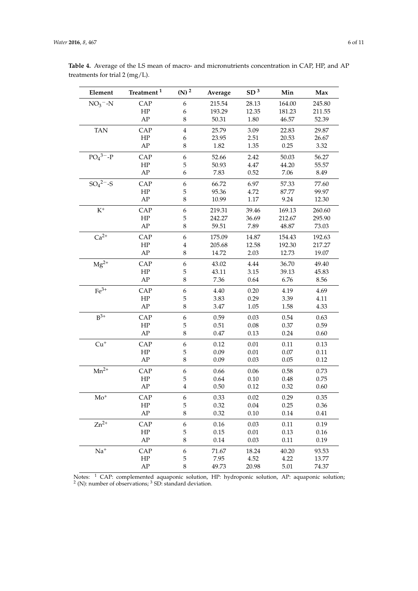| Element                | Treatment <sup>1</sup> | $(N)^2$          | Average  | SD <sup>3</sup> | Min    | Max    |
|------------------------|------------------------|------------------|----------|-----------------|--------|--------|
| $NO3 - N$              | CAP                    | 6                | 215.54   | 28.13           | 164.00 | 245.80 |
|                        | ${\rm HP}$             | 6                | 193.29   | 12.35           | 181.23 | 211.55 |
|                        | ${\rm AP}$             | $\,8\,$          | 50.31    | 1.80            | 46.57  | 52.39  |
| <b>TAN</b>             | CAP                    | $\bf 4$          | 25.79    | 3.09            | 22.83  | 29.87  |
|                        | HP                     | 6                | 23.95    | 2.51            | 20.53  | 26.67  |
|                        | AP                     | 8                | 1.82     | 1.35            | 0.25   | 3.32   |
| $PO4$ <sup>3-</sup> -P | CAP                    | $\boldsymbol{6}$ | 52.66    | 2.42            | 50.03  | 56.27  |
|                        | HP                     | 5                | 50.93    | 4.47            | 44.20  | 55.57  |
|                        | ${\rm AP}$             | 6                | 7.83     | 0.52            | 7.06   | 8.49   |
| $SO_4{}^{2-}$ -S       | CAP                    | 6                | 66.72    | 6.97            | 57.33  | 77.60  |
|                        | HP                     | 5                | 95.36    | 4.72            | 87.77  | 99.97  |
|                        | AP                     | $\,8\,$          | 10.99    | 1.17            | 9.24   | 12.30  |
| $K^+$                  | CAP                    | 6                | 219.31   | 39.46           | 169.13 | 260.60 |
|                        | HP                     | $\mathbf 5$      | 242.27   | 36.69           | 212.67 | 295.90 |
|                        | AP                     | $\,8\,$          | 59.51    | 7.89            | 48.87  | 73.03  |
| $Ca^{2+}$              | CAP                    | $\boldsymbol{6}$ | 175.09   | 14.87           | 154.43 | 192.63 |
|                        | HP                     | $\overline{4}$   | 205.68   | 12.58           | 192.30 | 217.27 |
|                        | ${\rm AP}$             | $\,8\,$          | 14.72    | 2.03            | 12.73  | 19.07  |
| $Mg^{2+}$              | CAP                    | $\boldsymbol{6}$ | 43.02    | 4.44            | 36.70  | 49.40  |
|                        | ${\rm HP}$             | 5                | 43.11    | 3.15            | 39.13  | 45.83  |
|                        | AP                     | $\,8\,$          | 7.36     | 0.64            | 6.76   | 8.56   |
| $Fe3+$                 | CAP                    | $\boldsymbol{6}$ | 4.40     | 0.20            | 4.19   | 4.69   |
|                        | HP                     | $\mathbf 5$      | 3.83     | 0.29            | 3.39   | 4.11   |
|                        | AP                     | $\,8\,$          | 3.47     | 1.05            | 1.58   | 4.33   |
| $B^{3+}$               | CAP                    | $\boldsymbol{6}$ | 0.59     | 0.03            | 0.54   | 0.63   |
|                        | HP                     | $\mathbf 5$      | 0.51     | 0.08            | 0.37   | 0.59   |
|                        | AP                     | $\,8\,$          | 0.47     | 0.13            | 0.24   | 0.60   |
| $\mathrm{Cu}^+$        | CAP                    | $\boldsymbol{6}$ | 0.12     | 0.01            | 0.11   | 0.13   |
|                        | ${\rm HP}$             | 5                | 0.09     | 0.01            | 0.07   | 0.11   |
|                        | ${\rm AP}$             | $\,8\,$          | 0.09     | 0.03            | 0.05   | 0.12   |
| $Mn^{2+}$              | CAP                    | $\boldsymbol{6}$ | 0.66     | 0.06            | 0.58   | 0.73   |
|                        | HP                     | $\mathbf 5$      | 0.64     | 0.10            | 0.48   | 0.75   |
|                        | ${\rm AP}$             | $\bf 4$          | $0.50\,$ | 0.12            | 0.32   | 0.60   |
| $\mathrm{Mo}^+$        | CAP                    | 6                | 0.33     | 0.02            | 0.29   | 0.35   |
|                        | ${\rm HP}$             | $\mathbf 5$      | 0.32     | 0.04            | 0.25   | 0.36   |
|                        | ${\rm AP}$             | 8                | 0.32     | 0.10            | 0.14   | 0.41   |
| $Zn^{2+}$              | CAP                    | 6                | 0.16     | 0.03            | 0.11   | 0.19   |
|                        | HP                     | 5                | 0.15     | 0.01            | 0.13   | 0.16   |
|                        | ${\rm AP}$             | $\,8\,$          | 0.14     | 0.03            | 0.11   | 0.19   |
| $Na+$                  | CAP                    | $\boldsymbol{6}$ | 71.67    | 18.24           | 40.20  | 93.53  |
|                        | HP                     | $\mathbf 5$      | 7.95     | 4.52            | 4.22   | 13.77  |
|                        | ${\rm AP}$             | $\,8\,$          | 49.73    | 20.98           | 5.01   | 74.37  |

<span id="page-5-0"></span>**Table 4.** Average of the LS mean of macro- and micronutrients concentration in CAP, HP, and AP treatments for trial 2 (mg/L).

Notes: <sup>1</sup> CAP: complemented aquaponic solution, HP: hydroponic solution, AP: aquaponic solution;<br><sup>2</sup> (N): number of observations; <sup>3</sup> SD: standard deviation.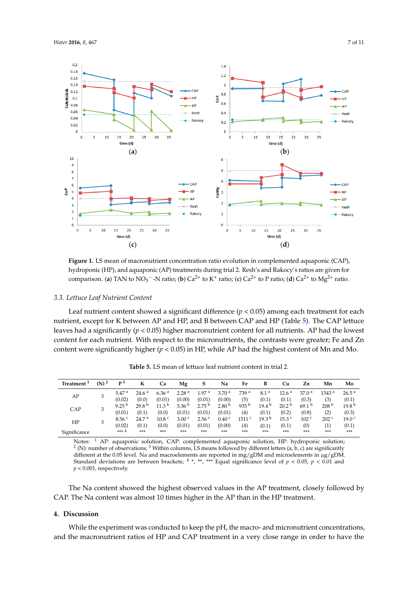<span id="page-6-0"></span>

**Figure 1.** LS mean of macronutrient concentration ratio evolution in complemented aquaponic **Figure 1.** LS mean of macronutrient concentration ratio evolution in complemented aquaponic (CAP), hydroponic (HP), and aquaponic (AP) treatments during trial 2. Resh's and Rakocy's ratios are given for comparison. (a) TAN to  $NO_3$ <sup>-</sup>-N ratio; (b)  $Ca^{2+}$  to K<sup>+</sup> ratio; (c)  $Ca^{2+}$  to P ratio; (d)  $Ca^{2+}$  to  $Mg^{2+}$  ratio.

#### *3.3. Lettuce Leaf Nutrient Content 3.3. Lettuce Leaf Nutrient Content*

nutrient, except for K between AP and HP, and B between CAP and HP (Table [5\)](#page-6-1). The CAP lettuce leaves had a significantly ( $p < 0.05$ ) higher macronutrient content for all nutrients. AP had the lowest content for each nutrient. With respect to the micronutrients, the contrasts were greater; Fe and Zn content were significantly higher ( $p$  < 0.05) in HP, while AP had the highest content of Mn and Mo. content were significantly higher (*p*  $\alpha$ ) in HP, which are higher content of Mn and Mo. The highest content of Mn and Mo. The highest content of Mn and Mo. The highest content of Mn and Mn and Mn and Mn and Mn and Mn an Leaf nutrient content showed a significant difference  $(p < 0.05)$  among each treatment for each

| Treatment <sup>1</sup> | $(N)^2$ | p <sub>3</sub>              | к                          | Ca                          | Mg                          | S                           | Na                          | Fe                       | в                          | Cu                         | Zn                         | Mn                                      | Mo                         |
|------------------------|---------|-----------------------------|----------------------------|-----------------------------|-----------------------------|-----------------------------|-----------------------------|--------------------------|----------------------------|----------------------------|----------------------------|-----------------------------------------|----------------------------|
| AP                     | 3       | 5.47 <sup>a</sup><br>(0.02) | 24.6 <sup>a</sup><br>(0.0) | 6.36 <sup>a</sup><br>(0.01) | 2.28 <sup>a</sup><br>(0.00) | 1.97 <sup>a</sup><br>(0.01) | 3.70 <sup>a</sup><br>(0.00) | 739 <sup>a</sup><br>(5)  | 8.1 <sup>a</sup><br>(0.1)  | 12.6 <sup>a</sup><br>(0.1) | 37.0 <sup>a</sup><br>(0.3) | 1343 <sup>a</sup><br>(3)                | 26.5 <sup>a</sup><br>(0.1) |
| CAP                    | 3       | 9.25 $^{\rm b}$<br>(0.01)   | 29.8 <sup>b</sup><br>(0.1) | $11.3^{b}$<br>(0.0)         | 3.36 $b$<br>(0.01)          | 2.75 <sup>b</sup><br>(0.01) | 2.80 <sup>b</sup><br>(0.01) | $935^{b}$<br>(4)         | $19.4^{b}$<br>(0.1)        | 20.2 <sup>b</sup><br>(0.2) | 69.1 <sup>b</sup><br>(0.8) | 208 <sup>b</sup><br>(2)                 | 19.8 <sup>b</sup><br>(0.3) |
| HP                     | 3       | 8.56 <sup>c</sup><br>(0.02) | 24.7 <sup>a</sup><br>(0.1) | 10.8 <sup>c</sup><br>(0.0)  | 3.00 <sup>c</sup><br>(0.01) | 2.56 <sup>c</sup><br>(0.01) | 0.40 <sup>c</sup><br>(0.00) | 1511 <sup>c</sup><br>(4) | 19.3 <sup>b</sup><br>(0.1) | 15.3 <sup>c</sup><br>(0.1) | 102 <sup>c</sup><br>(0)    | 202 <sup>c</sup><br>$\scriptstyle{(1)}$ | 19.0 <sup>c</sup><br>(0.1) |
| Significance           |         | $***4$                      | ***                        | ***                         | ***                         | ***                         | ***                         | ***                      | ***                        | ***                        | ***                        | $***$                                   | ***                        |

<span id="page-6-1"></span>Table 5. LS mean of lettuce leaf nutrient content in trial 2.

Notes:  $^4$  AP: aquaponic solution, CAP: complemented aquaponic solution, HP: hydroponic solution  $^2$  (N): number of observations;  $^3$  Within columns, LS means followed by different letters (a, b, c) are significantly Notes: <sup>1</sup> AP: aquaponic solution, CAP: complemented aquaponic solution, HP: hydroponic solution; Standard deviations are between brackets;  $4^*$ ,  $**$ ,  $***$  Equal significance level of  $p < 0.05$ ,  $p < 0.01$  and p < 0.001, respectively. different at the 0.05 level. Na and macroelements are reported in mg/gDM and microelements in µg/gDM.

The Na content showed the highest observed values in the AP treatment, closely followed by CAP. The Na content was almost 10 times higher in the AP than in the HP treatment. level of *p* < 0.05, *p* < 0.01 and *p* < 0.001, respectively.

#### **4. Discussion**

**4. Discussion** and the macronutrient ratios of HP and CAP treatment in a very close range in order to have the concentrations, and the macronutrient ratios of HP and CAP treatment in a very close range in order While the experiment was conducted to keep the pH, the macro- and micronutrient concentrations,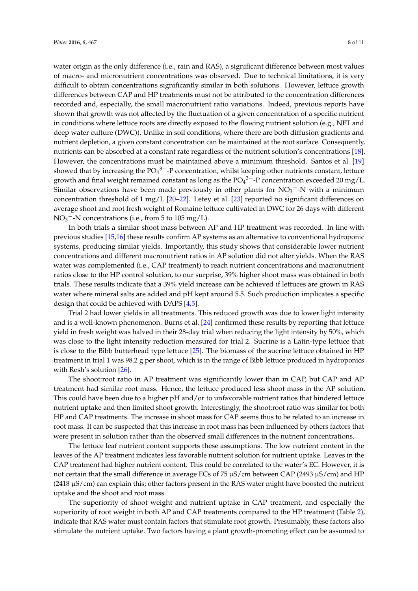water origin as the only difference (i.e., rain and RAS), a significant difference between most values of macro- and micronutrient concentrations was observed. Due to technical limitations, it is very difficult to obtain concentrations significantly similar in both solutions. However, lettuce growth differences between CAP and HP treatments must not be attributed to the concentration differences recorded and, especially, the small macronutrient ratio variations. Indeed, previous reports have shown that growth was not affected by the fluctuation of a given concentration of a specific nutrient in conditions where lettuce roots are directly exposed to the flowing nutrient solution (e.g., NFT and deep water culture (DWC)). Unlike in soil conditions, where there are both diffusion gradients and nutrient depletion, a given constant concentration can be maintained at the root surface. Consequently, nutrients can be absorbed at a constant rate regardless of the nutrient solution's concentrations [\[18\]](#page-9-15). However, the concentrations must be maintained above a minimum threshold. Santos et al. [\[19\]](#page-9-16) showed that by increasing the  $PO_4^{3-}$ -P concentration, whilst keeping other nutrients constant, lettuce growth and final weight remained constant as long as the  $PO_4^{3-}$ -P concentration exceeded 20 mg/L. Similar observations have been made previously in other plants for  $NO<sub>3</sub><sup>-</sup>-N$  with a minimum concentration threshold of 1 mg/L [\[20–](#page-9-17)[22\]](#page-9-18). Letey et al. [\[23\]](#page-9-19) reported no significant differences on average shoot and root fresh weight of Romaine lettuce cultivated in DWC for 26 days with different  $NO<sub>3</sub><sup>-</sup>-N$  concentrations (i.e., from 5 to 105 mg/L).

In both trials a similar shoot mass between AP and HP treatment was recorded. In line with previous studies [\[15,](#page-9-12)[16\]](#page-9-13) these results confirm AP systems as an alternative to conventional hydroponic systems, producing similar yields. Importantly, this study shows that considerable lower nutrient concentrations and different macronutrient ratios in AP solution did not alter yields. When the RAS water was complemented (i.e., CAP treatment) to reach nutrient concentrations and macronutrient ratios close to the HP control solution, to our surprise, 39% higher shoot mass was obtained in both trials. These results indicate that a 39% yield increase can be achieved if lettuces are grown in RAS water where mineral salts are added and pH kept around 5.5. Such production implicates a specific design that could be achieved with DAPS [\[4](#page-9-2)[,5\]](#page-9-3).

Trial 2 had lower yields in all treatments. This reduced growth was due to lower light intensity and is a well-known phenomenon. Burns et al. [\[24\]](#page-9-20) confirmed these results by reporting that lettuce yield in fresh weight was halved in their 28-day trial when reducing the light intensity by 50%, which was close to the light intensity reduction measured for trial 2. Sucrine is a Latin-type lettuce that is close to the Bibb butterhead type lettuce [\[25\]](#page-9-21). The biomass of the sucrine lettuce obtained in HP treatment in trial 1 was 98.2 g per shoot, which is in the range of Bibb lettuce produced in hydroponics with Resh's solution [\[26\]](#page-10-0).

The shoot:root ratio in AP treatment was significantly lower than in CAP, but CAP and AP treatment had similar root mass. Hence, the lettuce produced less shoot mass in the AP solution. This could have been due to a higher pH and/or to unfavorable nutrient ratios that hindered lettuce nutrient uptake and then limited shoot growth. Interestingly, the shoot:root ratio was similar for both HP and CAP treatments. The increase in shoot mass for CAP seems thus to be related to an increase in root mass. It can be suspected that this increase in root mass has been influenced by others factors that were present in solution rather than the observed small differences in the nutrient concentrations.

The lettuce leaf nutrient content supports these assumptions. The low nutrient content in the leaves of the AP treatment indicates less favorable nutrient solution for nutrient uptake. Leaves in the CAP treatment had higher nutrient content. This could be correlated to the water's EC. However, it is not certain that the small difference in average ECs of 75  $\mu$ S/cm between CAP (2493  $\mu$ S/cm) and HP  $(2418 \mu S/cm)$  can explain this; other factors present in the RAS water might have boosted the nutrient uptake and the shoot and root mass.

The superiority of shoot weight and nutrient uptake in CAP treatment, and especially the superiority of root weight in both AP and CAP treatments compared to the HP treatment (Table [2\)](#page-3-0), indicate that RAS water must contain factors that stimulate root growth. Presumably, these factors also stimulate the nutrient uptake. Two factors having a plant growth-promoting effect can be assumed to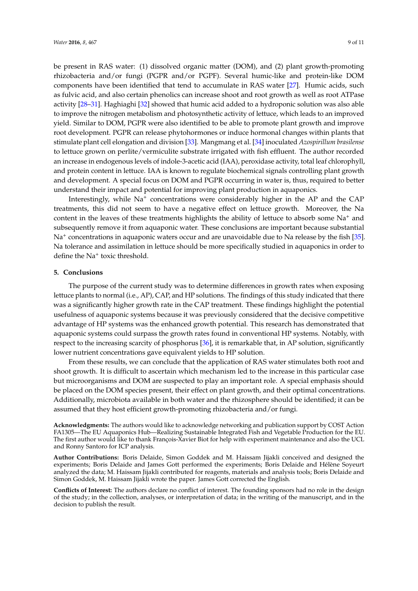be present in RAS water: (1) dissolved organic matter (DOM), and (2) plant growth-promoting rhizobacteria and/or fungi (PGPR and/or PGPF). Several humic-like and protein-like DOM components have been identified that tend to accumulate in RAS water [\[27\]](#page-10-1). Humic acids, such as fulvic acid, and also certain phenolics can increase shoot and root growth as well as root ATPase activity [\[28](#page-10-2)[–31\]](#page-10-3). Haghiaghi [\[32\]](#page-10-4) showed that humic acid added to a hydroponic solution was also able to improve the nitrogen metabolism and photosynthetic activity of lettuce, which leads to an improved yield. Similar to DOM, PGPR were also identified to be able to promote plant growth and improve root development. PGPR can release phytohormones or induce hormonal changes within plants that stimulate plant cell elongation and division [\[33\]](#page-10-5). Mangmang et al. [\[34\]](#page-10-6) inoculated *Azospirillum brasilense* to lettuce grown on perlite/vermiculite substrate irrigated with fish effluent. The author recorded an increase in endogenous levels of indole-3-acetic acid (IAA), peroxidase activity, total leaf chlorophyll, and protein content in lettuce. IAA is known to regulate biochemical signals controlling plant growth and development. A special focus on DOM and PGPR occurring in water is, thus, required to better understand their impact and potential for improving plant production in aquaponics.

Interestingly, while Na<sup>+</sup> concentrations were considerably higher in the AP and the CAP treatments, this did not seem to have a negative effect on lettuce growth. Moreover, the Na content in the leaves of these treatments highlights the ability of lettuce to absorb some  $Na<sup>+</sup>$  and subsequently remove it from aquaponic water. These conclusions are important because substantial Na<sup>+</sup> concentrations in aquaponic waters occur and are unavoidable due to Na release by the fish [\[35\]](#page-10-7). Na tolerance and assimilation in lettuce should be more specifically studied in aquaponics in order to define the Na<sup>+</sup> toxic threshold.

# **5. Conclusions**

The purpose of the current study was to determine differences in growth rates when exposing lettuce plants to normal (i.e., AP), CAP, and HP solutions. The findings of this study indicated that there was a significantly higher growth rate in the CAP treatment. These findings highlight the potential usefulness of aquaponic systems because it was previously considered that the decisive competitive advantage of HP systems was the enhanced growth potential. This research has demonstrated that aquaponic systems could surpass the growth rates found in conventional HP systems. Notably, with respect to the increasing scarcity of phosphorus [\[36\]](#page-10-8), it is remarkable that, in AP solution, significantly lower nutrient concentrations gave equivalent yields to HP solution.

From these results, we can conclude that the application of RAS water stimulates both root and shoot growth. It is difficult to ascertain which mechanism led to the increase in this particular case but microorganisms and DOM are suspected to play an important role. A special emphasis should be placed on the DOM species present, their effect on plant growth, and their optimal concentrations. Additionally, microbiota available in both water and the rhizosphere should be identified; it can be assumed that they host efficient growth-promoting rhizobacteria and/or fungi.

**Acknowledgments:** The authors would like to acknowledge networking and publication support by COST Action FA1305—The EU Aquaponics Hub—Realizing Sustainable Integrated Fish and Vegetable Production for the EU. The first author would like to thank François-Xavier Biot for help with experiment maintenance and also the UCL and Ronny Santoro for ICP analysis.

**Author Contributions:** Boris Delaide, Simon Goddek and M. Haissam Jijakli conceived and designed the experiments; Boris Delaide and James Gott performed the experiments; Boris Delaide and Hélène Soyeurt analyzed the data; M. Haissam Jijakli contributed for reagents, materials and analysis tools; Boris Delaide and Simon Goddek, M. Haissam Jijakli wrote the paper. James Gott corrected the English.

**Conflicts of Interest:** The authors declare no conflict of interest. The founding sponsors had no role in the design of the study; in the collection, analyses, or interpretation of data; in the writing of the manuscript, and in the decision to publish the result.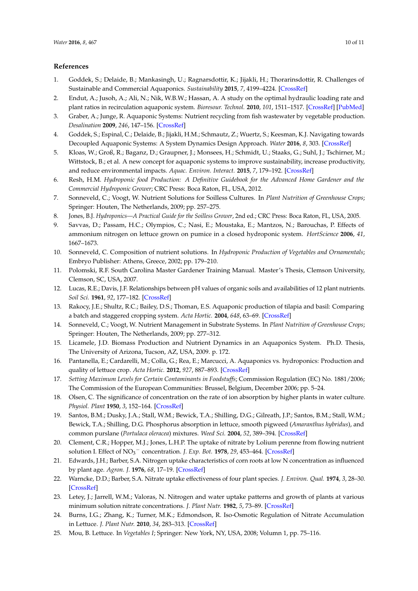## **References**

- <span id="page-9-0"></span>1. Goddek, S.; Delaide, B.; Mankasingh, U.; Ragnarsdottir, K.; Jijakli, H.; Thorarinsdottir, R. Challenges of Sustainable and Commercial Aquaponics. *Sustainability* **2015**, *7*, 4199–4224. [\[CrossRef\]](http://dx.doi.org/10.3390/su7044199)
- 2. Endut, A.; Jusoh, A.; Ali, N.; Nik, W.B.W.; Hassan, A. A study on the optimal hydraulic loading rate and plant ratios in recirculation aquaponic system. *Bioresour. Technol.* **2010**, *101*, 1511–1517. [\[CrossRef\]](http://dx.doi.org/10.1016/j.biortech.2009.09.040) [\[PubMed\]](http://www.ncbi.nlm.nih.gov/pubmed/19819130)
- <span id="page-9-1"></span>3. Graber, A.; Junge, R. Aquaponic Systems: Nutrient recycling from fish wastewater by vegetable production. *Desalination* **2009**, *246*, 147–156. [\[CrossRef\]](http://dx.doi.org/10.1016/j.desal.2008.03.048)
- <span id="page-9-2"></span>4. Goddek, S.; Espinal, C.; Delaide, B.; Jijakli, H.M.; Schmautz, Z.; Wuertz, S.; Keesman, K.J. Navigating towards Decoupled Aquaponic Systems: A System Dynamics Design Approach. *Water* **2016**, *8*, 303. [\[CrossRef\]](http://dx.doi.org/10.3390/w8070303)
- <span id="page-9-3"></span>5. Kloas, W.; Groß, R.; Baganz, D.; Graupner, J.; Monsees, H.; Schmidt, U.; Staaks, G.; Suhl, J.; Tschirner, M.; Wittstock, B.; et al. A new concept for aquaponic systems to improve sustainability, increase productivity, and reduce environmental impacts. *Aquac. Environ. Interact.* **2015**, *7*, 179–192. [\[CrossRef\]](http://dx.doi.org/10.3354/aei00146)
- <span id="page-9-4"></span>6. Resh, H.M. *Hydroponic food Production: A Definitive Guidebook for the Advanced Home Gardener and the Commercial Hydroponic Grower*; CRC Press: Boca Raton, FL, USA, 2012.
- <span id="page-9-5"></span>7. Sonneveld, C.; Voogt, W. Nutrient Solutions for Soilless Cultures. In *Plant Nutrition of Greenhouse Crops*; Springer: Houten, The Netherlands, 2009; pp. 257–275.
- <span id="page-9-6"></span>8. Jones, B.J. *Hydroponics—A Practical Guide for the Soilless Grower*, 2nd ed.; CRC Press: Boca Raton, FL, USA, 2005.
- 9. Savvas, D.; Passam, H.C.; Olympios, C.; Nasi, E.; Moustaka, E.; Mantzos, N.; Barouchas, P. Effects of ammonium nitrogen on lettuce grown on pumice in a closed hydroponic system. *HortScience* **2006**, *41*, 1667–1673.
- <span id="page-9-7"></span>10. Sonneveld, C. Composition of nutrient solutions. In *Hydroponic Production of Vegetables and Ornamentals*; Embryo Publisher: Athens, Greece, 2002; pp. 179–210.
- <span id="page-9-8"></span>11. Polomski, R.F. South Carolina Master Gardener Training Manual. Master's Thesis, Clemson University, Clemson, SC, USA, 2007.
- <span id="page-9-9"></span>12. Lucas, R.E.; Davis, J.F. Relationships between pH values of organic soils and availabilities of 12 plant nutrients. *Soil Sci.* **1961**, *92*, 177–182. [\[CrossRef\]](http://dx.doi.org/10.1097/00010694-196109000-00005)
- <span id="page-9-10"></span>13. Rakocy, J.E.; Shultz, R.C.; Bailey, D.S.; Thoman, E.S. Aquaponic production of tilapia and basil: Comparing a batch and staggered cropping system. *Acta Hortic.* **2004**, *648*, 63–69. [\[CrossRef\]](http://dx.doi.org/10.17660/ActaHortic.2004.648.8)
- <span id="page-9-11"></span>14. Sonneveld, C.; Voogt, W. Nutrient Management in Substrate Systems. In *Plant Nutrition of Greenhouse Crops*; Springer: Houten, The Netherlands, 2009; pp. 277–312.
- <span id="page-9-12"></span>15. Licamele, J.D. Biomass Production and Nutrient Dynamics in an Aquaponics System. Ph.D. Thesis, The University of Arizona, Tucson, AZ, USA, 2009. p. 172.
- <span id="page-9-13"></span>16. Pantanella, E.; Cardarelli, M.; Colla, G.; Rea, E.; Marcucci, A. Aquaponics vs. hydroponics: Production and quality of lettuce crop. *Acta Hortic.* **2012**, *927*, 887–893. [\[CrossRef\]](http://dx.doi.org/10.17660/ActaHortic.2012.927.109)
- <span id="page-9-14"></span>17. *Setting Maximum Levels for Certain Contaminants in Foodstuffs*; Commission Regulation (EC) No. 1881/2006; The Commission of the European Communities: Brussel, Belgium, December 2006; pp. 5–24.
- <span id="page-9-15"></span>18. Olsen, C. The significance of concentration on the rate of ion absorption by higher plants in water culture. *Physiol. Plant* **1950**, *3*, 152–164. [\[CrossRef\]](http://dx.doi.org/10.1111/j.1399-3054.1950.tb07498.x)
- <span id="page-9-16"></span>19. Santos, B.M.; Dusky, J.A.; Stall, W.M.; Bewick, T.A.; Shilling, D.G.; Gilreath, J.P.; Santos, B.M.; Stall, W.M.; Bewick, T.A.; Shilling, D.G. Phosphorus absorption in lettuce, smooth pigweed (*Amaranthus hybridus*), and common purslane (*Portulaca oleracea*) mixtures. *Weed Sci.* **2004**, *52*, 389–394. [\[CrossRef\]](http://dx.doi.org/10.1614/WS-03-053R)
- <span id="page-9-17"></span>20. Clement, C.R.; Hopper, M.J.; Jones, L.H.P. The uptake of nitrate by Lolium perenne from flowing nutrient solution I. Effect of NO<sup>3</sup> <sup>−</sup> concentration. *J. Exp. Bot.* **1978**, *29*, 453–464. [\[CrossRef\]](http://dx.doi.org/10.1093/jxb/29.2.453)
- 21. Edwards, J.H.; Barber, S.A. Nitrogen uptake characteristics of corn roots at low N concentration as influenced by plant age. *Agron. J.* **1976**, *68*, 17–19. [\[CrossRef\]](http://dx.doi.org/10.2134/agronj1976.00021962006800010005x)
- <span id="page-9-18"></span>22. Warncke, D.D.; Barber, S.A. Nitrate uptake effectiveness of four plant species. *J. Environ. Qual.* **1974**, *3*, 28–30. [\[CrossRef\]](http://dx.doi.org/10.2134/jeq1974.00472425000300010009x)
- <span id="page-9-19"></span>23. Letey, J.; Jarrell, W.M.; Valoras, N. Nitrogen and water uptake patterns and growth of plants at various minimum solution nitrate concentrations. *J. Plant Nutr.* **1982**, *5*, 73–89. [\[CrossRef\]](http://dx.doi.org/10.1080/01904168209362939)
- <span id="page-9-20"></span>24. Burns, I.G.; Zhang, K.; Turner, M.K.; Edmondson, R. Iso-Osmotic Regulation of Nitrate Accumulation in Lettuce. *J. Plant Nutr.* **2010**, *34*, 283–313. [\[CrossRef\]](http://dx.doi.org/10.1080/01904167.2011.533328)
- <span id="page-9-21"></span>25. Mou, B. Lettuce. In *Vegetables I*; Springer: New York, NY, USA, 2008; Volumn 1, pp. 75–116.